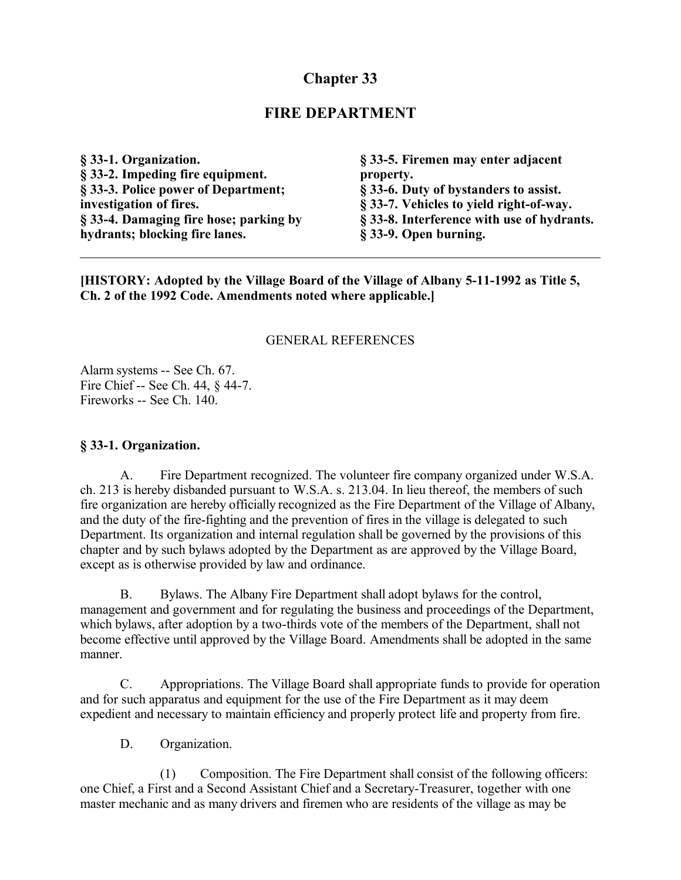# **Chapter 33**

# **FIRE DEPARTMENT**

**§ 33-1. Organization. § 33-2. Impeding fire equipment. § 33-3. Police power of Department; investigation of fires. § 33-4. Damaging fire hose; parking by hydrants; blocking fire lanes.**

**§ 33-5. Firemen may enter adjacent property. § 33-6. Duty of bystanders to assist. § 33-7. Vehicles to yield right-of-way. § 33-8. Interference with use of hydrants. § 33-9. Open burning.**

**[HISTORY: Adopted by the Village Board of the Village of Albany 5-11-1992 as Title 5, Ch. 2 of the 1992 Code. Amendments noted where applicable.]**

#### GENERAL REFERENCES

Alarm systems -- See Ch. 67. Fire Chief -- See Ch. 44, § 44-7. Fireworks -- See Ch. 140.

#### **§ 33-1. Organization.**

A. Fire Department recognized. The volunteer fire company organized under W.S.A. ch. 213 is hereby disbanded pursuant to W.S.A. s. 213.04. In lieu thereof, the members of such fire organization are hereby officially recognized as the Fire Department of the Village of Albany, and the duty of the fire-fighting and the prevention of fires in the village is delegated to such Department. Its organization and internal regulation shall be governed by the provisions of this chapter and by such bylaws adopted by the Department as are approved by the Village Board, except as is otherwise provided by law and ordinance.

B. Bylaws. The Albany Fire Department shall adopt bylaws for the control, management and government and for regulating the business and proceedings of the Department, which bylaws, after adoption by a two-thirds vote of the members of the Department, shall not become effective until approved by the Village Board. Amendments shall be adopted in the same manner.

C. Appropriations. The Village Board shall appropriate funds to provide for operation and for such apparatus and equipment for the use of the Fire Department as it may deem expedient and necessary to maintain efficiency and properly protect life and property from fire.

D. Organization.

(1) Composition. The Fire Department shall consist of the following officers: one Chief, a First and a Second Assistant Chief and a Secretary-Treasurer, together with one master mechanic and as many drivers and firemen who are residents of the village as may be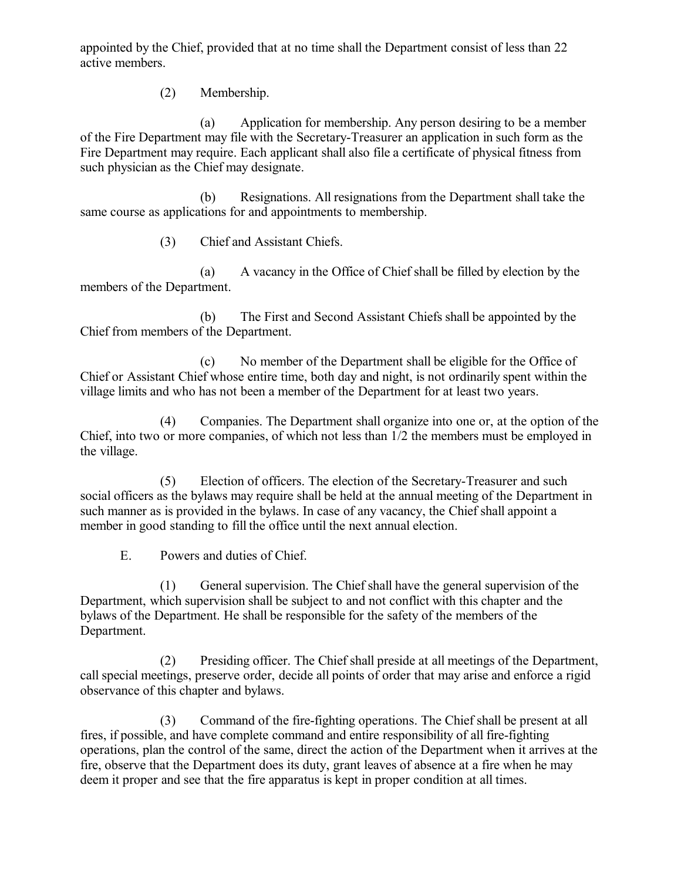appointed by the Chief, provided that at no time shall the Department consist of less than 22 active members.

(2) Membership.

(a) Application for membership. Any person desiring to be a member of the Fire Department may file with the Secretary-Treasurer an application in such form as the Fire Department may require. Each applicant shall also file a certificate of physical fitness from such physician as the Chief may designate.

(b) Resignations. All resignations from the Department shall take the same course as applications for and appointments to membership.

(3) Chief and Assistant Chiefs.

(a) A vacancy in the Office of Chief shall be filled by election by the members of the Department.

(b) The First and Second Assistant Chiefs shall be appointed by the Chief from members of the Department.

(c) No member of the Department shall be eligible for the Office of Chief or Assistant Chief whose entire time, both day and night, is not ordinarily spent within the village limits and who has not been a member of the Department for at least two years.

(4) Companies. The Department shall organize into one or, at the option of the Chief, into two or more companies, of which not less than 1/2 the members must be employed in the village.

(5) Election of officers. The election of the Secretary-Treasurer and such social officers as the bylaws may require shall be held at the annual meeting of the Department in such manner as is provided in the bylaws. In case of any vacancy, the Chief shall appoint a member in good standing to fill the office until the next annual election.

E. Powers and duties of Chief.

(1) General supervision. The Chief shall have the general supervision of the Department, which supervision shall be subject to and not conflict with this chapter and the bylaws of the Department. He shall be responsible for the safety of the members of the Department.

(2) Presiding officer. The Chief shall preside at all meetings of the Department, call special meetings, preserve order, decide all points of order that may arise and enforce a rigid observance of this chapter and bylaws.

(3) Command of the fire-fighting operations. The Chief shall be present at all fires, if possible, and have complete command and entire responsibility of all fire-fighting operations, plan the control of the same, direct the action of the Department when it arrives at the fire, observe that the Department does its duty, grant leaves of absence at a fire when he may deem it proper and see that the fire apparatus is kept in proper condition at all times.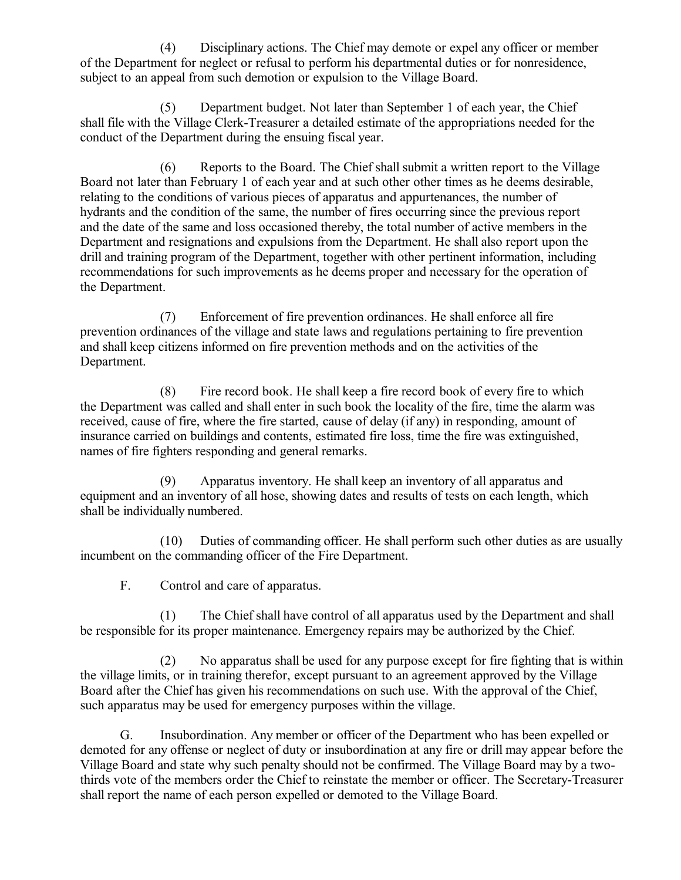(4) Disciplinary actions. The Chief may demote or expel any officer or member of the Department for neglect or refusal to perform his departmental duties or for nonresidence, subject to an appeal from such demotion or expulsion to the Village Board.

(5) Department budget. Not later than September 1 of each year, the Chief shall file with the Village Clerk-Treasurer a detailed estimate of the appropriations needed for the conduct of the Department during the ensuing fiscal year.

(6) Reports to the Board. The Chief shall submit a written report to the Village Board not later than February 1 of each year and at such other other times as he deems desirable, relating to the conditions of various pieces of apparatus and appurtenances, the number of hydrants and the condition of the same, the number of fires occurring since the previous report and the date of the same and loss occasioned thereby, the total number of active members in the Department and resignations and expulsions from the Department. He shall also report upon the drill and training program of the Department, together with other pertinent information, including recommendations for such improvements as he deems proper and necessary for the operation of the Department.

(7) Enforcement of fire prevention ordinances. He shall enforce all fire prevention ordinances of the village and state laws and regulations pertaining to fire prevention and shall keep citizens informed on fire prevention methods and on the activities of the Department.

(8) Fire record book. He shall keep a fire record book of every fire to which the Department was called and shall enter in such book the locality of the fire, time the alarm was received, cause of fire, where the fire started, cause of delay (if any) in responding, amount of insurance carried on buildings and contents, estimated fire loss, time the fire was extinguished, names of fire fighters responding and general remarks.

(9) Apparatus inventory. He shall keep an inventory of all apparatus and equipment and an inventory of all hose, showing dates and results of tests on each length, which shall be individually numbered.

(10) Duties of commanding officer. He shall perform such other duties as are usually incumbent on the commanding officer of the Fire Department.

F. Control and care of apparatus.

(1) The Chief shall have control of all apparatus used by the Department and shall be responsible for its proper maintenance. Emergency repairs may be authorized by the Chief.

(2) No apparatus shall be used for any purpose except for fire fighting that is within the village limits, or in training therefor, except pursuant to an agreement approved by the Village Board after the Chief has given his recommendations on such use. With the approval of the Chief, such apparatus may be used for emergency purposes within the village.

G. Insubordination. Any member or officer of the Department who has been expelled or demoted for any offense or neglect of duty or insubordination at any fire or drill may appear before the Village Board and state why such penalty should not be confirmed. The Village Board may by a twothirds vote of the members order the Chief to reinstate the member or officer. The Secretary-Treasurer shall report the name of each person expelled or demoted to the Village Board.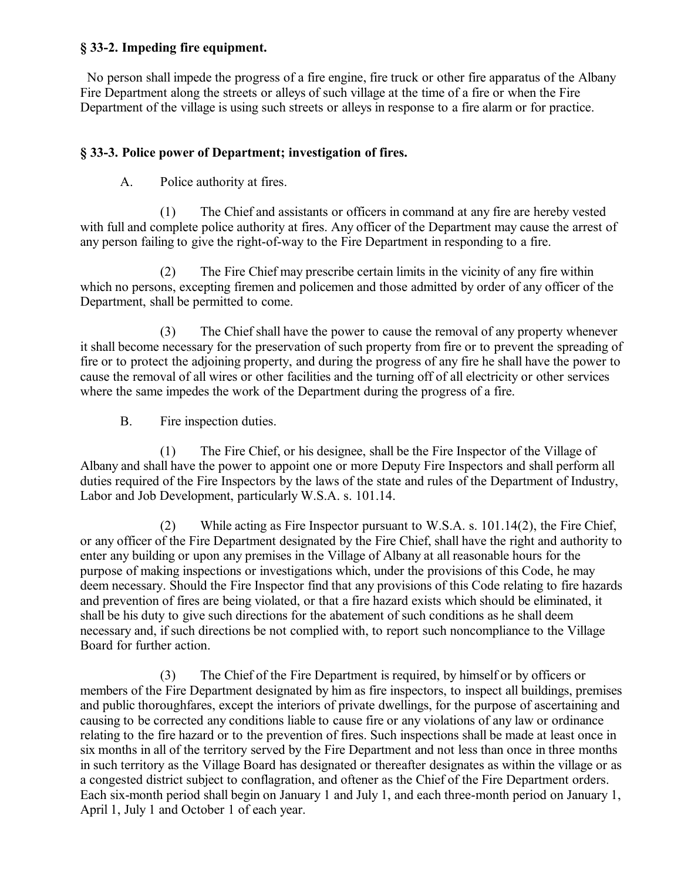#### **§ 33-2. Impeding fire equipment.**

 No person shall impede the progress of a fire engine, fire truck or other fire apparatus of the Albany Fire Department along the streets or alleys of such village at the time of a fire or when the Fire Department of the village is using such streets or alleys in response to a fire alarm or for practice.

## **§ 33-3. Police power of Department; investigation of fires.**

A. Police authority at fires.

(1) The Chief and assistants or officers in command at any fire are hereby vested with full and complete police authority at fires. Any officer of the Department may cause the arrest of any person failing to give the right-of-way to the Fire Department in responding to a fire.

(2) The Fire Chief may prescribe certain limits in the vicinity of any fire within which no persons, excepting firemen and policemen and those admitted by order of any officer of the Department, shall be permitted to come.

(3) The Chief shall have the power to cause the removal of any property whenever it shall become necessary for the preservation of such property from fire or to prevent the spreading of fire or to protect the adjoining property, and during the progress of any fire he shall have the power to cause the removal of all wires or other facilities and the turning off of all electricity or other services where the same impedes the work of the Department during the progress of a fire.

B. Fire inspection duties.

(1) The Fire Chief, or his designee, shall be the Fire Inspector of the Village of Albany and shall have the power to appoint one or more Deputy Fire Inspectors and shall perform all duties required of the Fire Inspectors by the laws of the state and rules of the Department of Industry, Labor and Job Development, particularly W.S.A. s. 101.14.

(2) While acting as Fire Inspector pursuant to W.S.A. s. 101.14(2), the Fire Chief, or any officer of the Fire Department designated by the Fire Chief, shall have the right and authority to enter any building or upon any premises in the Village of Albany at all reasonable hours for the purpose of making inspections or investigations which, under the provisions of this Code, he may deem necessary. Should the Fire Inspector find that any provisions of this Code relating to fire hazards and prevention of fires are being violated, or that a fire hazard exists which should be eliminated, it shall be his duty to give such directions for the abatement of such conditions as he shall deem necessary and, if such directions be not complied with, to report such noncompliance to the Village Board for further action.

(3) The Chief of the Fire Department is required, by himself or by officers or members of the Fire Department designated by him as fire inspectors, to inspect all buildings, premises and public thoroughfares, except the interiors of private dwellings, for the purpose of ascertaining and causing to be corrected any conditions liable to cause fire or any violations of any law or ordinance relating to the fire hazard or to the prevention of fires. Such inspections shall be made at least once in six months in all of the territory served by the Fire Department and not less than once in three months in such territory as the Village Board has designated or thereafter designates as within the village or as a congested district subject to conflagration, and oftener as the Chief of the Fire Department orders. Each six-month period shall begin on January 1 and July 1, and each three-month period on January 1, April 1, July 1 and October 1 of each year.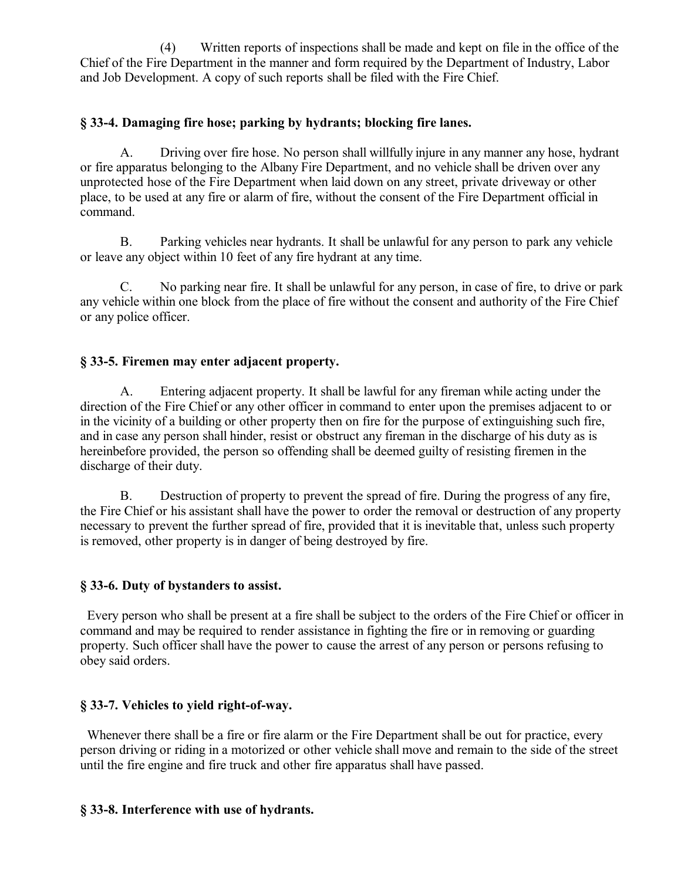(4) Written reports of inspections shall be made and kept on file in the office of the Chief of the Fire Department in the manner and form required by the Department of Industry, Labor and Job Development. A copy of such reports shall be filed with the Fire Chief.

## **§ 33-4. Damaging fire hose; parking by hydrants; blocking fire lanes.**

A. Driving over fire hose. No person shall willfully injure in any manner any hose, hydrant or fire apparatus belonging to the Albany Fire Department, and no vehicle shall be driven over any unprotected hose of the Fire Department when laid down on any street, private driveway or other place, to be used at any fire or alarm of fire, without the consent of the Fire Department official in command.

B. Parking vehicles near hydrants. It shall be unlawful for any person to park any vehicle or leave any object within 10 feet of any fire hydrant at any time.

C. No parking near fire. It shall be unlawful for any person, in case of fire, to drive or park any vehicle within one block from the place of fire without the consent and authority of the Fire Chief or any police officer.

# **§ 33-5. Firemen may enter adjacent property.**

A. Entering adjacent property. It shall be lawful for any fireman while acting under the direction of the Fire Chief or any other officer in command to enter upon the premises adjacent to or in the vicinity of a building or other property then on fire for the purpose of extinguishing such fire, and in case any person shall hinder, resist or obstruct any fireman in the discharge of his duty as is hereinbefore provided, the person so offending shall be deemed guilty of resisting firemen in the discharge of their duty.

B. Destruction of property to prevent the spread of fire. During the progress of any fire, the Fire Chief or his assistant shall have the power to order the removal or destruction of any property necessary to prevent the further spread of fire, provided that it is inevitable that, unless such property is removed, other property is in danger of being destroyed by fire.

### **§ 33-6. Duty of bystanders to assist.**

 Every person who shall be present at a fire shall be subject to the orders of the Fire Chief or officer in command and may be required to render assistance in fighting the fire or in removing or guarding property. Such officer shall have the power to cause the arrest of any person or persons refusing to obey said orders.

### **§ 33-7. Vehicles to yield right-of-way.**

Whenever there shall be a fire or fire alarm or the Fire Department shall be out for practice, every person driving or riding in a motorized or other vehicle shall move and remain to the side of the street until the fire engine and fire truck and other fire apparatus shall have passed.

### **§ 33-8. Interference with use of hydrants.**